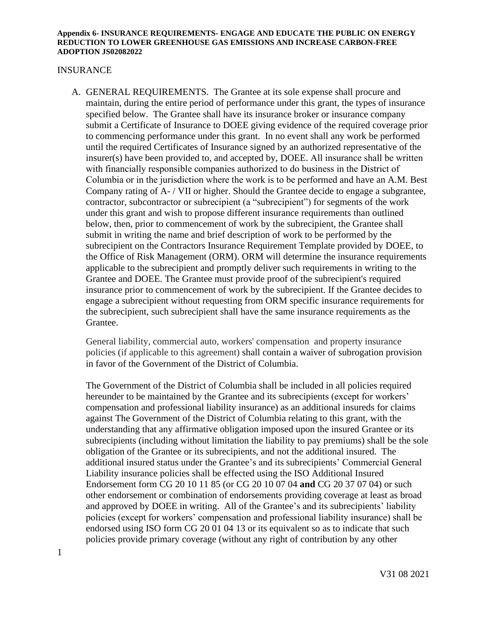### INSURANCE

A. GENERAL REQUIREMENTS. The Grantee at its sole expense shall procure and maintain, during the entire period of performance under this grant, the types of insurance specified below. The Grantee shall have its insurance broker or insurance company submit a Certificate of Insurance to DOEE giving evidence of the required coverage prior to commencing performance under this grant. In no event shall any work be performed until the required Certificates of Insurance signed by an authorized representative of the insurer(s) have been provided to, and accepted by, DOEE. All insurance shall be written with financially responsible companies authorized to do business in the District of Columbia or in the jurisdiction where the work is to be performed and have an A.M. Best Company rating of A- / VII or higher. Should the Grantee decide to engage a subgrantee, contractor, subcontractor or subrecipient (a "subrecipient") for segments of the work under this grant and wish to propose different insurance requirements than outlined below, then, prior to commencement of work by the subrecipient, the Grantee shall submit in writing the name and brief description of work to be performed by the subrecipient on the Contractors Insurance Requirement Template provided by DOEE, to the Office of Risk Management (ORM). ORM will determine the insurance requirements applicable to the subrecipient and promptly deliver such requirements in writing to the Grantee and DOEE. The Grantee must provide proof of the subrecipient's required insurance prior to commencement of work by the subrecipient. If the Grantee decides to engage a subrecipient without requesting from ORM specific insurance requirements for the subrecipient, such subrecipient shall have the same insurance requirements as the Grantee.

General liability, commercial auto, workers' compensation and property insurance policies (if applicable to this agreement) shall contain a waiver of subrogation provision in favor of the Government of the District of Columbia.

The Government of the District of Columbia shall be included in all policies required hereunder to be maintained by the Grantee and its subrecipients (except for workers' compensation and professional liability insurance) as an additional insureds for claims against The Government of the District of Columbia relating to this grant, with the understanding that any affirmative obligation imposed upon the insured Grantee or its subrecipients (including without limitation the liability to pay premiums) shall be the sole obligation of the Grantee or its subrecipients, and not the additional insured. The additional insured status under the Grantee's and its subrecipients' Commercial General Liability insurance policies shall be effected using the ISO Additional Insured Endorsement form CG 20 10 11 85 (or CG 20 10 07 04 **and** CG 20 37 07 04) or such other endorsement or combination of endorsements providing coverage at least as broad and approved by DOEE in writing. All of the Grantee's and its subrecipients' liability policies (except for workers' compensation and professional liability insurance) shall be endorsed using ISO form CG 20 01 04 13 or its equivalent so as to indicate that such policies provide primary coverage (without any right of contribution by any other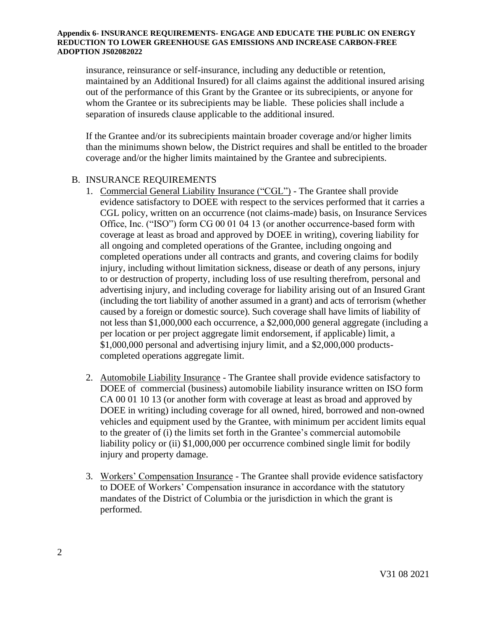insurance, reinsurance or self-insurance, including any deductible or retention, maintained by an Additional Insured) for all claims against the additional insured arising out of the performance of this Grant by the Grantee or its subrecipients, or anyone for whom the Grantee or its subrecipients may be liable. These policies shall include a separation of insureds clause applicable to the additional insured.

If the Grantee and/or its subrecipients maintain broader coverage and/or higher limits than the minimums shown below, the District requires and shall be entitled to the broader coverage and/or the higher limits maintained by the Grantee and subrecipients.

## B. INSURANCE REQUIREMENTS

- 1. Commercial General Liability Insurance ("CGL") The Grantee shall provide evidence satisfactory to DOEE with respect to the services performed that it carries a CGL policy, written on an occurrence (not claims-made) basis, on Insurance Services Office, Inc. ("ISO") form CG 00 01 04 13 (or another occurrence-based form with coverage at least as broad and approved by DOEE in writing), covering liability for all ongoing and completed operations of the Grantee, including ongoing and completed operations under all contracts and grants, and covering claims for bodily injury, including without limitation sickness, disease or death of any persons, injury to or destruction of property, including loss of use resulting therefrom, personal and advertising injury, and including coverage for liability arising out of an Insured Grant (including the tort liability of another assumed in a grant) and acts of terrorism (whether caused by a foreign or domestic source). Such coverage shall have limits of liability of not less than \$1,000,000 each occurrence, a \$2,000,000 general aggregate (including a per location or per project aggregate limit endorsement, if applicable) limit, a \$1,000,000 personal and advertising injury limit, and a \$2,000,000 productscompleted operations aggregate limit.
- 2. Automobile Liability Insurance The Grantee shall provide evidence satisfactory to DOEE of commercial (business) automobile liability insurance written on ISO form CA 00 01 10 13 (or another form with coverage at least as broad and approved by DOEE in writing) including coverage for all owned, hired, borrowed and non-owned vehicles and equipment used by the Grantee, with minimum per accident limits equal to the greater of (i) the limits set forth in the Grantee's commercial automobile liability policy or (ii) \$1,000,000 per occurrence combined single limit for bodily injury and property damage.
- 3. Workers' Compensation Insurance The Grantee shall provide evidence satisfactory to DOEE of Workers' Compensation insurance in accordance with the statutory mandates of the District of Columbia or the jurisdiction in which the grant is performed.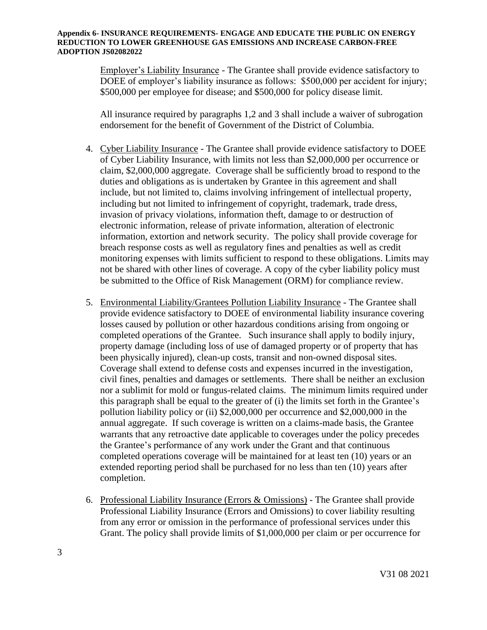Employer's Liability Insurance - The Grantee shall provide evidence satisfactory to DOEE of employer's liability insurance as follows: \$500,000 per accident for injury; \$500,000 per employee for disease; and \$500,000 for policy disease limit.

All insurance required by paragraphs 1,2 and 3 shall include a waiver of subrogation endorsement for the benefit of Government of the District of Columbia.

- 4. Cyber Liability Insurance The Grantee shall provide evidence satisfactory to DOEE of Cyber Liability Insurance, with limits not less than \$2,000,000 per occurrence or claim, \$2,000,000 aggregate. Coverage shall be sufficiently broad to respond to the duties and obligations as is undertaken by Grantee in this agreement and shall include, but not limited to, claims involving infringement of intellectual property, including but not limited to infringement of copyright, trademark, trade dress, invasion of privacy violations, information theft, damage to or destruction of electronic information, release of private information, alteration of electronic information, extortion and network security. The policy shall provide coverage for breach response costs as well as regulatory fines and penalties as well as credit monitoring expenses with limits sufficient to respond to these obligations. Limits may not be shared with other lines of coverage. A copy of the cyber liability policy must be submitted to the Office of Risk Management (ORM) for compliance review.
- 5. Environmental Liability/Grantees Pollution Liability Insurance The Grantee shall provide evidence satisfactory to DOEE of environmental liability insurance covering losses caused by pollution or other hazardous conditions arising from ongoing or completed operations of the Grantee. Such insurance shall apply to bodily injury, property damage (including loss of use of damaged property or of property that has been physically injured), clean-up costs, transit and non-owned disposal sites. Coverage shall extend to defense costs and expenses incurred in the investigation, civil fines, penalties and damages or settlements. There shall be neither an exclusion nor a sublimit for mold or fungus-related claims. The minimum limits required under this paragraph shall be equal to the greater of (i) the limits set forth in the Grantee's pollution liability policy or (ii) \$2,000,000 per occurrence and \$2,000,000 in the annual aggregate. If such coverage is written on a claims-made basis, the Grantee warrants that any retroactive date applicable to coverages under the policy precedes the Grantee's performance of any work under the Grant and that continuous completed operations coverage will be maintained for at least ten (10) years or an extended reporting period shall be purchased for no less than ten (10) years after completion.
- 6. Professional Liability Insurance (Errors & Omissions) The Grantee shall provide Professional Liability Insurance (Errors and Omissions) to cover liability resulting from any error or omission in the performance of professional services under this Grant. The policy shall provide limits of \$1,000,000 per claim or per occurrence for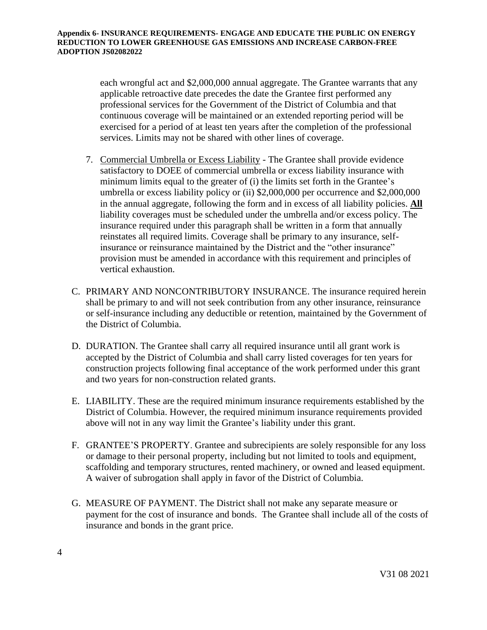each wrongful act and \$2,000,000 annual aggregate. The Grantee warrants that any applicable retroactive date precedes the date the Grantee first performed any professional services for the Government of the District of Columbia and that continuous coverage will be maintained or an extended reporting period will be exercised for a period of at least ten years after the completion of the professional services. Limits may not be shared with other lines of coverage.

- 7. Commercial Umbrella or Excess Liability The Grantee shall provide evidence satisfactory to DOEE of commercial umbrella or excess liability insurance with minimum limits equal to the greater of (i) the limits set forth in the Grantee's umbrella or excess liability policy or (ii) \$2,000,000 per occurrence and \$2,000,000 in the annual aggregate, following the form and in excess of all liability policies. **All**  liability coverages must be scheduled under the umbrella and/or excess policy. The insurance required under this paragraph shall be written in a form that annually reinstates all required limits. Coverage shall be primary to any insurance, selfinsurance or reinsurance maintained by the District and the "other insurance" provision must be amended in accordance with this requirement and principles of vertical exhaustion.
- C. PRIMARY AND NONCONTRIBUTORY INSURANCE. The insurance required herein shall be primary to and will not seek contribution from any other insurance, reinsurance or self-insurance including any deductible or retention, maintained by the Government of the District of Columbia.
- D. DURATION. The Grantee shall carry all required insurance until all grant work is accepted by the District of Columbia and shall carry listed coverages for ten years for construction projects following final acceptance of the work performed under this grant and two years for non-construction related grants.
- E. LIABILITY. These are the required minimum insurance requirements established by the District of Columbia. However, the required minimum insurance requirements provided above will not in any way limit the Grantee's liability under this grant.
- F. GRANTEE'S PROPERTY. Grantee and subrecipients are solely responsible for any loss or damage to their personal property, including but not limited to tools and equipment, scaffolding and temporary structures, rented machinery, or owned and leased equipment. A waiver of subrogation shall apply in favor of the District of Columbia.
- G. MEASURE OF PAYMENT. The District shall not make any separate measure or payment for the cost of insurance and bonds. The Grantee shall include all of the costs of insurance and bonds in the grant price.